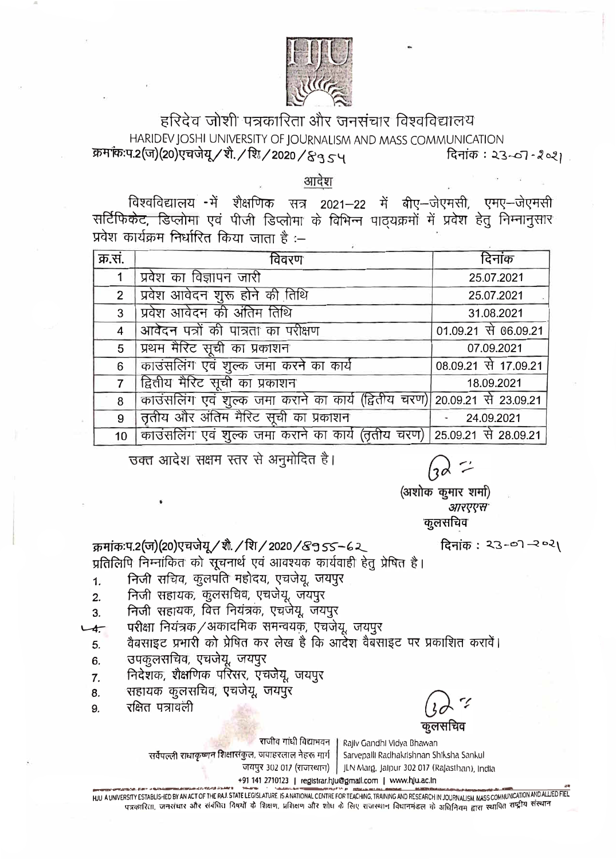

## हरिदेव जोशी पत्रकारिता और जनसंचार विश्वविद्यालय HARIDEV JOSHI UNIVERSITY OF JOURNALISM AND MASS COMMUNICATION क्रमांकःप.2(ज)(20)एचजेयू / शे. / शि. / 2020 / & 3 5 प दिनांक : २३-०७ - २०११ |

आदेश

विश्वविद्यालय - में शैक्षणिक सत्र 2021–22 में बीए–जेएमसी, एमए–जेएमसी सर्टिफिकेट, डिप्लोमा एवं पीजी डिप्लोमा के विभिन्न पाठयक्रमों में प्रवेश हेतू निम्नानूसार प्रवेश कार्यक्रम निर्धारित किया जाता है :–

| क्र.सं.         | विवरण                                                                     | दिनांक               |
|-----------------|---------------------------------------------------------------------------|----------------------|
| $\overline{1}$  | प्रवेश का विज्ञापन जारी                                                   | 25.07.2021           |
| $\overline{2}$  | प्रिवेश आवेदन शुरू होने की तिथि                                           | 25.07.2021           |
| 3 <sup>1</sup>  | प्रवेश आवेदन की अंतिम तिथि                                                | 31.08.2021           |
| $\overline{4}$  | आवेदन पत्रों की पात्रता का परीक्षण                                        | 01.09.21 से 06.09.21 |
| 5 <sup>5</sup>  | प्रथम मैरिट सूची का प्रकाशन                                               | 07.09.2021           |
| 6               | काउंसलिंग एवं शुल्क जमा करने का कार्य                                     | 08.09.21 से 17.09.21 |
| $\overline{7}$  | द्वितीय मैरिट सूची का प्रकाशन                                             | 18.09.2021           |
| 8               | काउंसलिंग एवं शुल्क जमा कराने का कार्य (द्वितीय चरण) 20.09.21 से 23.09.21 |                      |
| 9               | तृतीय और अंतिम मैरिट सूची का प्रकाशन                                      | $-24.09.2021$        |
| 10 <sup>1</sup> | काउंसलिंग एवं शुल्क जमा कराने का कार्य (तृतीय चरण) 25.09.21 से 28.09.21   |                      |

उक्त आदेश सक्षम स्तर से अनुमोदित है।

(अशोक कुमार शर्मा) आरएएस कूलसचिव

दिनांक: २३-०१-२०२)

क्रमांक:प.2(ज)(20)एचजेयू / शै. / शि / 2020 / & 9 55 – 6 २ प्रतिलिपि निम्नांकित को सूचनार्थ एवं आवश्यक कार्यवाही हेतु प्रेषित है।

निजी सचिव, कूलपति महोदय, एचजेयू, जयपुर  $1.$ 

- निजी सहायक, कुलसचिव, एचजेयू, जयपुर  $2.$
- निजी सहायक, वित्त नियंत्रक, एचजेयू, जयपुर  $3.$
- परीक्षा नियंत्रक/अकादमिक समन्वयक, एचजेयू, जयपुर  $-4.$ 
	- वैबसाइट प्रभारी को प्रेषित कर लेख है कि आर्देश वैबसाइट पर प्रकाशित करावें।  $5<sub>1</sub>$
	- उपकूलसचिव, एचजेयू, जयपुर  $6.$
	- निदेशक, शैक्षणिक परिसर, एचजेयू, जयपुर 7.
	- सहायक कूलसचिव, एचजेयू, जयपुर 8.
	- रक्षित पत्रावली 9.

कूलसचिव

राजीव गांधी विद्याभवन Rajiv Gandhi Vidya Bhawan सर्वेपल्ली राधाकृष्णून शिक्षासंकुल, जवाहरलाल नेहरू मार्ग Sarvepalli Radhakrishnan Shiksha Sankul जयपुर 302 017 (राजस्थान) | JLN Marg, Jalpur 302 017 (Rajasthan), India +91 141 2710123 | registrar.hju@gmail.com | www.hju.ac.in

HUL A UNIVERSITY ESTABLISHED BY AN ACT OF THE RAJ. STATE LEGISLATURE. IS A NATIONAL CENTRE FOR TEACHING, TRAINING AND RESEARCH IN JOURNALISM. MASS COMMUNICATION AND ALLIED FIEL पत्रकारिता, जनसंचार और संबंधित विषयों के शिक्षण, प्रशिक्षण और शोध के लिए राजस्थान विधानमंडल के अधिनियम द्वारा स्थापित राष्ट्रीय संस्थान